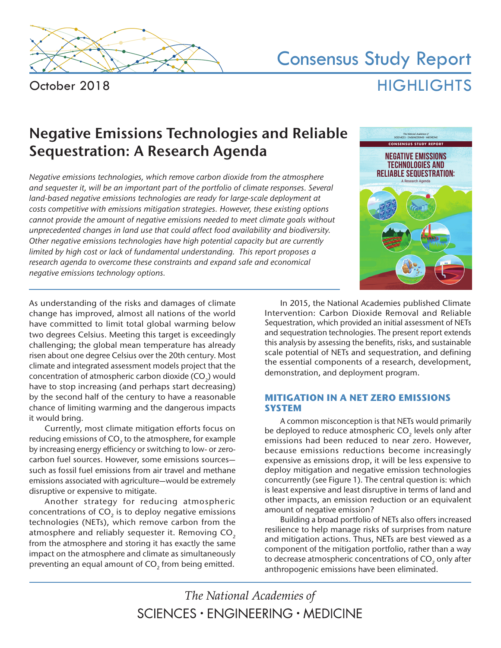

October 2018

# Consensus Study Report **HIGHLIGHTS**

# **Negative Emissions Technologies and Reliable Sequestration: A Research Agenda**

*Negative emissions technologies, which remove carbon dioxide from the atmosphere and sequester it, will be an important part of the portfolio of climate responses. Several land-based negative emissions technologies are ready for large-scale deployment at costs competitive with emissions mitigation strategies. However, these existing options cannot provide the amount of negative emissions needed to meet climate goals without unprecedented changes in land use that could affect food availability and biodiversity. Other negative emissions technologies have high potential capacity but are currently limited by high cost or lack of fundamental understanding. This report proposes a research agenda to overcome these constraints and expand safe and economical negative emissions technology options.*



As understanding of the risks and damages of climate change has improved, almost all nations of the world have committed to limit total global warming below two degrees Celsius. Meeting this target is exceedingly challenging; the global mean temperature has already risen about one degree Celsius over the 20th century. Most climate and integrated assessment models project that the concentration of atmospheric carbon dioxide  $(CO<sub>2</sub>)$  would have to stop increasing (and perhaps start decreasing) by the second half of the century to have a reasonable chance of limiting warming and the dangerous impacts it would bring.

Currently, most climate mitigation efforts focus on reducing emissions of CO<sub>2</sub> to the atmosphere, for example by increasing energy efficiency or switching to low- or zerocarbon fuel sources. However, some emissions sources such as fossil fuel emissions from air travel and methane emissions associated with agriculture—would be extremely disruptive or expensive to mitigate.

Another strategy for reducing atmospheric concentrations of  $CO<sub>2</sub>$  is to deploy negative emissions technologies (NETs), which remove carbon from the atmosphere and reliably sequester it. Removing CO<sub>2</sub> from the atmosphere and storing it has exactly the same impact on the atmosphere and climate as simultaneously preventing an equal amount of CO<sub>2</sub> from being emitted.

In 2015, the National Academies published Climate Intervention: Carbon Dioxide Removal and Reliable Sequestration, which provided an initial assessment of NETs and sequestration technologies. The present report extends this analysis by assessing the benefits, risks, and sustainable scale potential of NETs and sequestration, and defining the essential components of a research, development, demonstration, and deployment program.

## **MITIGATION IN A NET ZERO EMISSIONS SYSTEM**

A common misconception is that NETs would primarily be deployed to reduce atmospheric  $CO<sub>2</sub>$  levels only after emissions had been reduced to near zero. However, because emissions reductions become increasingly expensive as emissions drop, it will be less expensive to deploy mitigation and negative emission technologies concurrently (see Figure 1). The central question is: which is least expensive and least disruptive in terms of land and other impacts, an emission reduction or an equivalent amount of negative emission?

Building a broad portfolio of NETs also offers increased resilience to help manage risks of surprises from nature and mitigation actions. Thus, NETs are best viewed as a component of the mitigation portfolio, rather than a way to decrease atmospheric concentrations of  $CO<sub>2</sub>$  only after anthropogenic emissions have been eliminated.

The National Academies of SCIENCES · ENGINEERING · MEDICINE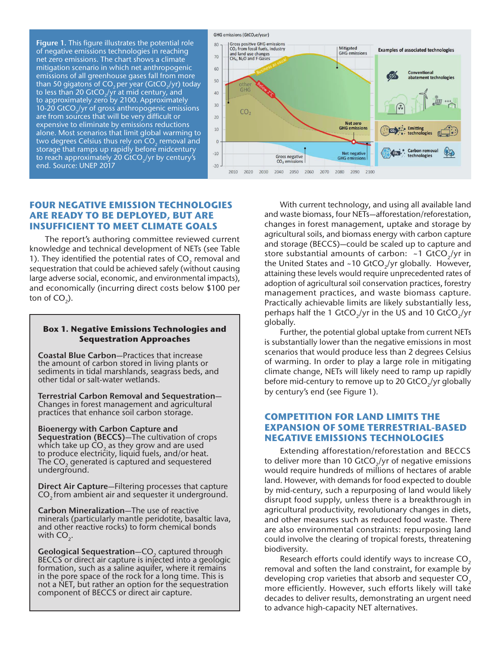**Figure 1.** This figure illustrates the potential role of negative emissions technologies in reaching net zero emissions. The chart shows a climate mitigation scenario in which net anthropogenic emissions of all greenhouse gases fall from more than 50 gigatons of  $CO<sub>2</sub>$  per year (GtCO<sub>2</sub>/yr) today to less than 20 GtCO<sub>2</sub>/yr at mid century, and to approximately zero by 2100. Approximately 10-20 GtCO $\sqrt{y}$ r of gross anthropogenic emissions are from sources that will be very difficult or expensive to eliminate by emissions reductions alone. Most scenarios that limit global warming to two degrees Celsius thus rely on  $CO<sub>2</sub>$  removal and storage that ramps up rapidly before midcentury to reach approximately 20 GtCO<sub>2</sub>/yr by century's end. Source: UNEP 2017



#### **FOUR NEGATIVE EMISSION TECHNOLOGIES ARE READY TO BE DEPLOYED, BUT ARE INSUFFICIENT TO MEET CLIMATE GOALS**

The report's authoring committee reviewed current knowledge and technical development of NETs (see Table 1). They identified the potential rates of CO<sub>2</sub> removal and sequestration that could be achieved safely (without causing large adverse social, economic, and environmental impacts), and economically (incurring direct costs below \$100 per ton of  $CO<sub>2</sub>$ ).

#### **Box 1. Negative Emissions Technologies and Sequestration Approaches**

**Coastal Blue Carbon**—Practices that increase the amount of carbon stored in living plants or sediments in tidal marshlands, seagrass beds, and other tidal or salt-water wetlands.

**Terrestrial Carbon Removal and Sequestration**— Changes in forest management and agricultural practices that enhance soil carbon storage.

**Bioenergy with Carbon Capture and Sequestration (BECCS)**—The cultivation of crops which take up  $CO<sub>2</sub>$  as they grow and are used to produce electricity, liquid fuels, and/or heat. The  $CO<sub>2</sub>$  generated is captured and sequestered underground.

**Direct Air Capture**—Filtering processes that capture CO<sub>2</sub> from ambient air and sequester it underground.

**Carbon Mineralization**—The use of reactive minerals (particularly mantle peridotite, basaltic lava, and other reactive rocks) to form chemical bonds with  $CO<sub>2</sub>$ .

**Geological Sequestration–CO**<sub>2</sub> captured through BECCS or direct air capture is injected into a geologic formation, such as a saline aquifer, where it remains in the pore space of the rock for a long time. This is not a NET, but rather an option for the sequestration component of BECCS or direct air capture.

With current technology, and using all available land and waste biomass, four NETs—afforestation/reforestation, changes in forest management, uptake and storage by agricultural soils, and biomass energy with carbon capture and storage (BECCS)—could be scaled up to capture and store substantial amounts of carbon:  $\sim$  1 GtCO<sub>2</sub>/yr in the United States and ~10 GtCO<sub>2</sub>/yr globally. However, attaining these levels would require unprecedented rates of adoption of agricultural soil conservation practices, forestry management practices, and waste biomass capture. Practically achievable limits are likely substantially less, perhaps half the 1 GtCO<sub>2</sub>/yr in the US and 10 GtCO<sub>2</sub>/yr globally.

Further, the potential global uptake from current NETs is substantially lower than the negative emissions in most scenarios that would produce less than 2 degrees Celsius of warming. In order to play a large role in mitigating climate change, NETs will likely need to ramp up rapidly before mid-century to remove up to 20 GtCO<sub>2</sub>/yr globally by century's end (see Figure 1).

#### **COMPETITION FOR LAND LIMITS THE EXPANSION OF SOME TERRESTRIAL-BASED NEGATIVE EMISSIONS TECHNOLOGIES**

Extending afforestation/reforestation and BECCS to deliver more than 10 GtCO $\sqrt{y}$  of negative emissions would require hundreds of millions of hectares of arable land. However, with demands for food expected to double by mid-century, such a repurposing of land would likely disrupt food supply, unless there is a breakthrough in agricultural productivity, revolutionary changes in diets, and other measures such as reduced food waste. There are also environmental constraints: repurposing land could involve the clearing of tropical forests, threatening biodiversity.

Research efforts could identify ways to increase  $CO<sub>2</sub>$ removal and soften the land constraint, for example by developing crop varieties that absorb and sequester CO<sub>2</sub> more efficiently. However, such efforts likely will take decades to deliver results, demonstrating an urgent need to advance high-capacity NET alternatives.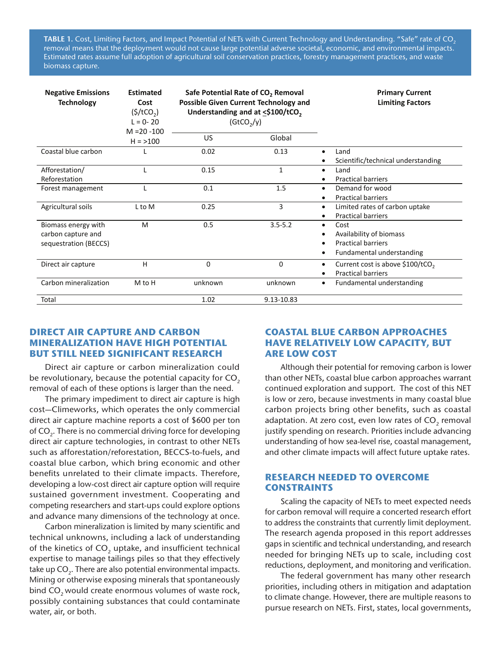**TABLE 1.** Cost, Limiting Factors, and Impact Potential of NETs with Current Technology and Understanding. "Safe" rate of CO<sub>2</sub> removal means that the deployment would not cause large potential adverse societal, economic, and environmental impacts. Estimated rates assume full adoption of agricultural soil conservation practices, forestry management practices, and waste biomass capture.

| <b>Negative Emissions</b><br><b>Technology</b>                     | <b>Estimated</b><br>Cost<br>$($ \$/tCO <sub>2</sub> $)$<br>$L = 0 - 20$<br>$M = 20 - 100$ | Safe Potential Rate of CO <sub>2</sub> Removal<br><b>Possible Given Current Technology and</b><br>Understanding and at <\$100/tCO <sub>2</sub><br>(GtCO <sub>2</sub> /y) |              | <b>Primary Current</b><br><b>Limiting Factors</b>                                                                             |
|--------------------------------------------------------------------|-------------------------------------------------------------------------------------------|--------------------------------------------------------------------------------------------------------------------------------------------------------------------------|--------------|-------------------------------------------------------------------------------------------------------------------------------|
|                                                                    | $H = > 100$                                                                               | <b>US</b>                                                                                                                                                                | Global       |                                                                                                                               |
| Coastal blue carbon                                                |                                                                                           | 0.02                                                                                                                                                                     | 0.13         | Land<br>$\bullet$<br>Scientific/technical understanding                                                                       |
| Afforestation/<br>Reforestation                                    |                                                                                           | 0.15                                                                                                                                                                     | $\mathbf{1}$ | Land<br>$\bullet$<br><b>Practical barriers</b><br>٠                                                                           |
| Forest management                                                  |                                                                                           | 0.1                                                                                                                                                                      | 1.5          | Demand for wood<br>$\bullet$<br><b>Practical barriers</b><br>٠                                                                |
| Agricultural soils                                                 | L to M                                                                                    | 0.25                                                                                                                                                                     | 3            | Limited rates of carbon uptake<br>٠<br><b>Practical barriers</b><br>٠                                                         |
| Biomass energy with<br>carbon capture and<br>sequestration (BECCS) | M                                                                                         | 0.5                                                                                                                                                                      | $3.5 - 5.2$  | Cost<br>$\bullet$<br>Availability of biomass<br>٠<br><b>Practical barriers</b><br>$\bullet$<br>Fundamental understanding<br>٠ |
| Direct air capture                                                 | H                                                                                         | 0                                                                                                                                                                        | $\Omega$     | Current cost is above \$100/tCO <sub>2</sub><br>٠<br><b>Practical barriers</b><br>$\bullet$                                   |
| Carbon mineralization                                              | M to H                                                                                    | unknown                                                                                                                                                                  | unknown      | Fundamental understanding<br>٠                                                                                                |
| Total                                                              |                                                                                           | 1.02                                                                                                                                                                     | 9.13-10.83   |                                                                                                                               |

#### **DIRECT AIR CAPTURE AND CARBON MINERALIZATION HAVE HIGH POTENTIAL BUT STILL NEED SIGNIFICANT RESEARCH**

Direct air capture or carbon mineralization could be revolutionary, because the potential capacity for CO<sub>2</sub> removal of each of these options is larger than the need.

The primary impediment to direct air capture is high cost—Climeworks, which operates the only commercial direct air capture machine reports a cost of \$600 per ton of CO<sub>2</sub>. There is no commercial driving force for developing direct air capture technologies, in contrast to other NETs such as afforestation/reforestation, BECCS-to-fuels, and coastal blue carbon, which bring economic and other benefits unrelated to their climate impacts. Therefore, developing a low-cost direct air capture option will require sustained government investment. Cooperating and competing researchers and start-ups could explore options and advance many dimensions of the technology at once.

Carbon mineralization is limited by many scientific and technical unknowns, including a lack of understanding of the kinetics of  $CO<sub>2</sub>$  uptake, and insufficient technical expertise to manage tailings piles so that they effectively take up CO $_{\textrm{\tiny{2}}}$ . There are also potential environmental impacts. Mining or otherwise exposing minerals that spontaneously bind CO<sub>2</sub> would create enormous volumes of waste rock, possibly containing substances that could contaminate water, air, or both.

### **COASTAL BLUE CARBON APPROACHES HAVE RELATIVELY LOW CAPACITY, BUT ARE LOW COST**

Although their potential for removing carbon is lower than other NETs, coastal blue carbon approaches warrant continued exploration and support. The cost of this NET is low or zero, because investments in many coastal blue carbon projects bring other benefits, such as coastal adaptation. At zero cost, even low rates of  $CO<sub>2</sub>$  removal justify spending on research. Priorities include advancing understanding of how sea-level rise, coastal management, and other climate impacts will affect future uptake rates.

#### **RESEARCH NEEDED TO OVERCOME CONSTRAINTS**

Scaling the capacity of NETs to meet expected needs for carbon removal will require a concerted research effort to address the constraints that currently limit deployment. The research agenda proposed in this report addresses gaps in scientific and technical understanding, and research needed for bringing NETs up to scale, including cost reductions, deployment, and monitoring and verification.

The federal government has many other research priorities, including others in mitigation and adaptation to climate change. However, there are multiple reasons to pursue research on NETs. First, states, local governments,